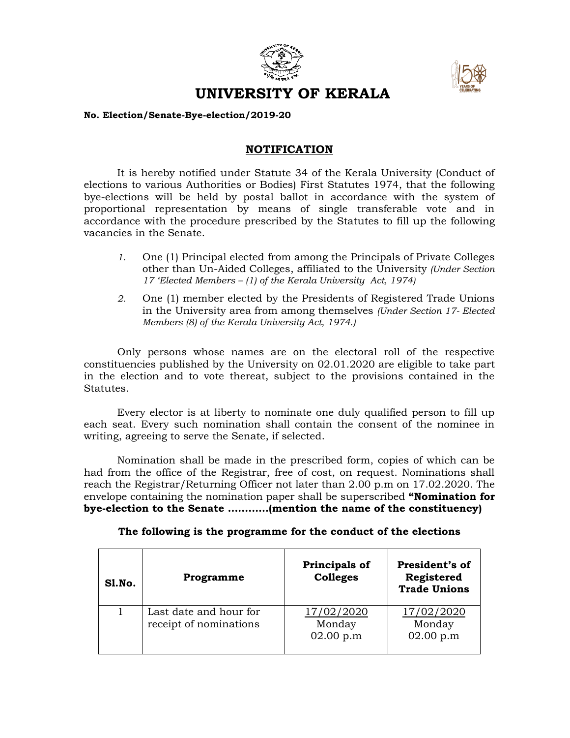



## **UNIVERSITY OF KERALA**

## **No. Election/Senate-Bye-election/2019-20**

## **NOTIFICATION**

It is hereby notified under Statute 34 of the Kerala University (Conduct of elections to various Authorities or Bodies) First Statutes 1974, that the following bye-elections will be held by postal ballot in accordance with the system of proportional representation by means of single transferable vote and in accordance with the procedure prescribed by the Statutes to fill up the following vacancies in the Senate.

- *1.* One (1) Principal elected from among the Principals of Private Colleges other than Un-Aided Colleges, affiliated to the University *(Under Section 17 'Elected Members – (1) of the Kerala University Act, 1974)*
- *2.* One (1) member elected by the Presidents of Registered Trade Unions in the University area from among themselves *(Under Section 17- Elected Members (8) of the Kerala University Act, 1974.)*

Only persons whose names are on the electoral roll of the respective constituencies published by the University on 02.01.2020 are eligible to take part in the election and to vote thereat, subject to the provisions contained in the Statutes.

Every elector is at liberty to nominate one duly qualified person to fill up each seat. Every such nomination shall contain the consent of the nominee in writing, agreeing to serve the Senate, if selected.

Nomination shall be made in the prescribed form, copies of which can be had from the office of the Registrar, free of cost, on request. Nominations shall reach the Registrar/Returning Officer not later than 2.00 p.m on 17.02.2020. The envelope containing the nomination paper shall be superscribed **"Nomination for bye-election to the Senate …………(mention the name of the constituency)**

**The following is the programme for the conduct of the elections**

| Sl.No. | Programme                                        | Principals of<br><b>Colleges</b>  | President's of<br>Registered<br><b>Trade Unions</b> |
|--------|--------------------------------------------------|-----------------------------------|-----------------------------------------------------|
|        | Last date and hour for<br>receipt of nominations | 17/02/2020<br>Monday<br>02.00 p.m | 17/02/2020<br>Monday<br>02.00 p.m                   |